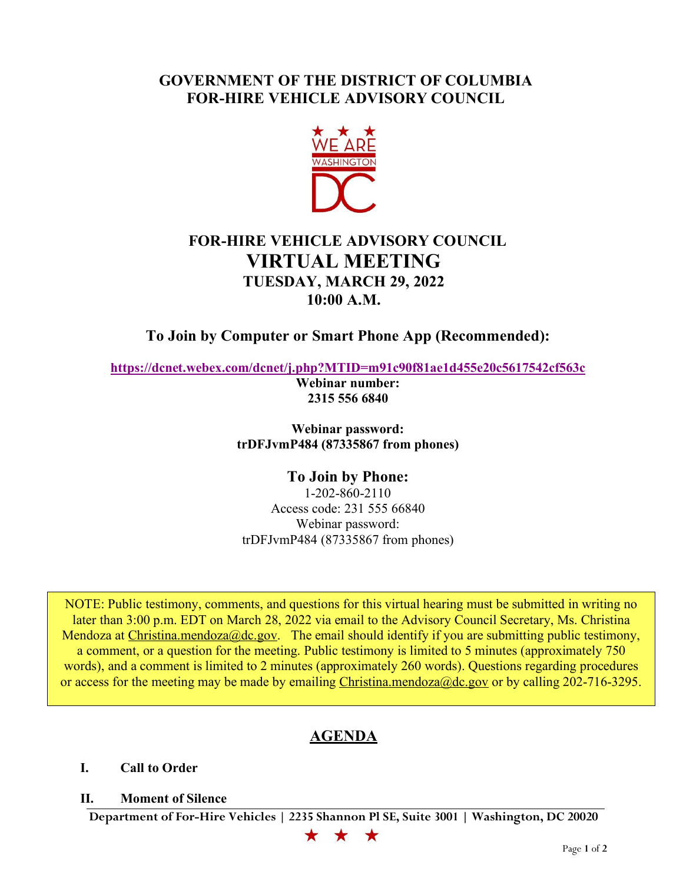## **GOVERNMENT OF THE DISTRICT OF COLUMBIA FOR-HIRE VEHICLE ADVISORY COUNCIL**



## **FOR-HIRE VEHICLE ADVISORY COUNCIL VIRTUAL MEETING TUESDAY, MARCH 29, 2022 10:00 A.M.**

**To Join by Computer or Smart Phone App (Recommended):**

**<https://dcnet.webex.com/dcnet/j.php?MTID=m91c90f81ae1d455e20c5617542cf563c>**

**Webinar number: 2315 556 6840**

**Webinar password: trDFJvmP484 (87335867 from phones)**

**To Join by Phone:** 1-202-860-2110 Access code: 231 555 66840 Webinar password: trDFJvmP484 (87335867 from phones)

NOTE: Public testimony, comments, and questions for this virtual hearing must be submitted in writing no later than 3:00 p.m. EDT on March 28, 2022 via email to the Advisory Council Secretary, Ms. Christina Mendoza at [Christina.mendoza@dc.gov.](mailto:Christina.mendoza@dc.gov) The email should identify if you are submitting public testimony, a comment, or a question for the meeting. Public testimony is limited to 5 minutes (approximately 750 words), and a comment is limited to 2 minutes (approximately 260 words). Questions regarding procedures or access for the meeting may be made by emailing [Christina.mendoza@dc.gov](mailto:Christina.mendoza@dc.gov) or by calling 202-716-3295.

# **AGENDA**

**I. Call to Order**

### **II. Moment of Silence**

**Department of For-Hire Vehicles | 2235 Shannon Pl SE, Suite 3001 | Washington, DC 20020**